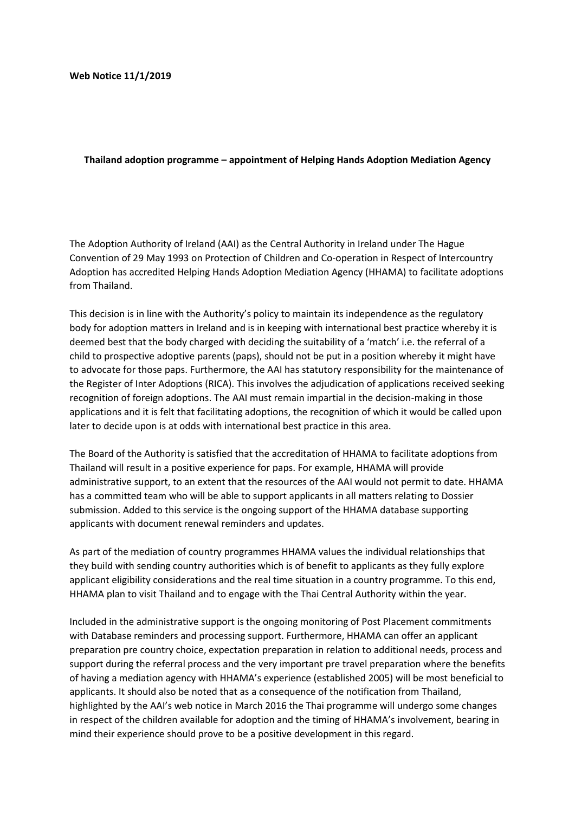## **Web Notice 11/1/2019**

## **Thailand adoption programme – appointment of Helping Hands Adoption Mediation Agency**

The Adoption Authority of Ireland (AAI) as the Central Authority in Ireland under The Hague Convention of 29 May 1993 on Protection of Children and Co-operation in Respect of Intercountry Adoption has accredited Helping Hands Adoption Mediation Agency (HHAMA) to facilitate adoptions from Thailand.

This decision is in line with the Authority's policy to maintain its independence as the regulatory body for adoption matters in Ireland and is in keeping with international best practice whereby it is deemed best that the body charged with deciding the suitability of a 'match' i.e. the referral of a child to prospective adoptive parents (paps), should not be put in a position whereby it might have to advocate for those paps. Furthermore, the AAI has statutory responsibility for the maintenance of the Register of Inter Adoptions (RICA). This involves the adjudication of applications received seeking recognition of foreign adoptions. The AAI must remain impartial in the decision-making in those applications and it is felt that facilitating adoptions, the recognition of which it would be called upon later to decide upon is at odds with international best practice in this area.

The Board of the Authority is satisfied that the accreditation of HHAMA to facilitate adoptions from Thailand will result in a positive experience for paps. For example, HHAMA will provide administrative support, to an extent that the resources of the AAI would not permit to date. HHAMA has a committed team who will be able to support applicants in all matters relating to Dossier submission. Added to this service is the ongoing support of the HHAMA database supporting applicants with document renewal reminders and updates.

As part of the mediation of country programmes HHAMA values the individual relationships that they build with sending country authorities which is of benefit to applicants as they fully explore applicant eligibility considerations and the real time situation in a country programme. To this end, HHAMA plan to visit Thailand and to engage with the Thai Central Authority within the year.

Included in the administrative support is the ongoing monitoring of Post Placement commitments with Database reminders and processing support. Furthermore, HHAMA can offer an applicant preparation pre country choice, expectation preparation in relation to additional needs, process and support during the referral process and the very important pre travel preparation where the benefits of having a mediation agency with HHAMA's experience (established 2005) will be most beneficial to applicants. It should also be noted that as a consequence of the notification from Thailand, highlighted by the AAI's web notice in March 2016 the Thai programme will undergo some changes in respect of the children available for adoption and the timing of HHAMA's involvement, bearing in mind their experience should prove to be a positive development in this regard.